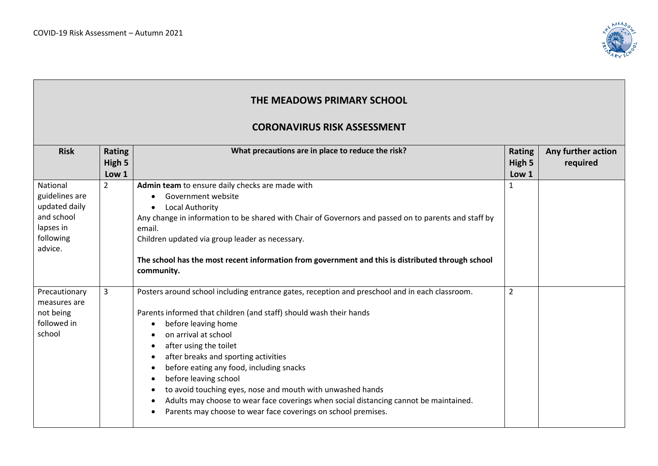

| THE MEADOWS PRIMARY SCHOOL<br><b>CORONAVIRUS RISK ASSESSMENT</b>                               |                           |                                                                                                                                                                                                                                                                                                                                                                                                                                                                                                                                                                                                                           |                                  |                                |  |
|------------------------------------------------------------------------------------------------|---------------------------|---------------------------------------------------------------------------------------------------------------------------------------------------------------------------------------------------------------------------------------------------------------------------------------------------------------------------------------------------------------------------------------------------------------------------------------------------------------------------------------------------------------------------------------------------------------------------------------------------------------------------|----------------------------------|--------------------------------|--|
| <b>Risk</b>                                                                                    | Rating<br>High 5<br>Low 1 | What precautions are in place to reduce the risk?                                                                                                                                                                                                                                                                                                                                                                                                                                                                                                                                                                         | <b>Rating</b><br>High 5<br>Low 1 | Any further action<br>required |  |
| National<br>guidelines are<br>updated daily<br>and school<br>lapses in<br>following<br>advice. | $\overline{2}$            | Admin team to ensure daily checks are made with<br>Government website<br>Local Authority<br>$\bullet$<br>Any change in information to be shared with Chair of Governors and passed on to parents and staff by<br>email.<br>Children updated via group leader as necessary.<br>The school has the most recent information from government and this is distributed through school<br>community.                                                                                                                                                                                                                             | $\mathbf{1}$                     |                                |  |
| Precautionary<br>measures are<br>not being<br>followed in<br>school                            | 3                         | Posters around school including entrance gates, reception and preschool and in each classroom.<br>Parents informed that children (and staff) should wash their hands<br>before leaving home<br>$\bullet$<br>on arrival at school<br>after using the toilet<br>after breaks and sporting activities<br>$\bullet$<br>before eating any food, including snacks<br>before leaving school<br>$\bullet$<br>to avoid touching eyes, nose and mouth with unwashed hands<br>Adults may choose to wear face coverings when social distancing cannot be maintained.<br>Parents may choose to wear face coverings on school premises. | $\overline{2}$                   |                                |  |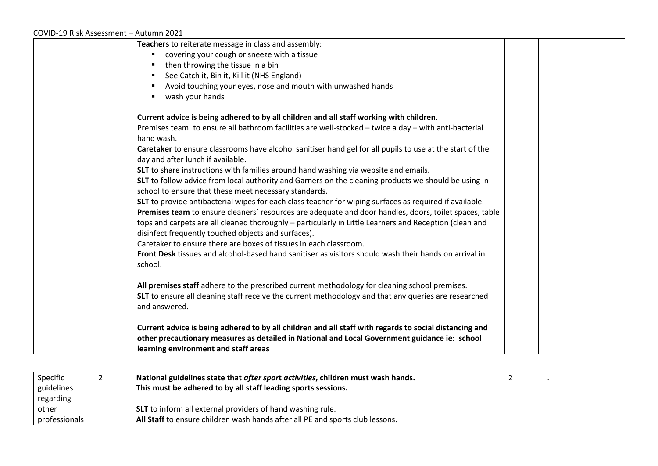## COVID-19 Risk Assessment – Autumn 2021

| Teachers to reiterate message in class and assembly:                                                                                                          |
|---------------------------------------------------------------------------------------------------------------------------------------------------------------|
| covering your cough or sneeze with a tissue                                                                                                                   |
| then throwing the tissue in a bin                                                                                                                             |
| See Catch it, Bin it, Kill it (NHS England)                                                                                                                   |
| Avoid touching your eyes, nose and mouth with unwashed hands                                                                                                  |
| wash your hands                                                                                                                                               |
| Current advice is being adhered to by all children and all staff working with children.                                                                       |
| Premises team. to ensure all bathroom facilities are well-stocked - twice a day - with anti-bacterial                                                         |
| hand wash.                                                                                                                                                    |
| Caretaker to ensure classrooms have alcohol sanitiser hand gel for all pupils to use at the start of the<br>day and after lunch if available.                 |
| SLT to share instructions with families around hand washing via website and emails.                                                                           |
| SLT to follow advice from local authority and Garners on the cleaning products we should be using in                                                          |
| school to ensure that these meet necessary standards.                                                                                                         |
| SLT to provide antibacterial wipes for each class teacher for wiping surfaces as required if available.                                                       |
| Premises team to ensure cleaners' resources are adequate and door handles, doors, toilet spaces, table                                                        |
| tops and carpets are all cleaned thoroughly - particularly in Little Learners and Reception (clean and<br>disinfect frequently touched objects and surfaces). |
| Caretaker to ensure there are boxes of tissues in each classroom.                                                                                             |
| Front Desk tissues and alcohol-based hand sanitiser as visitors should wash their hands on arrival in<br>school.                                              |
| All premises staff adhere to the prescribed current methodology for cleaning school premises.                                                                 |
| SLT to ensure all cleaning staff receive the current methodology and that any queries are researched                                                          |
| and answered.                                                                                                                                                 |
| Current advice is being adhered to by all children and all staff with regards to social distancing and                                                        |
| other precautionary measures as detailed in National and Local Government guidance ie: school                                                                 |
| learning environment and staff areas                                                                                                                          |

| Specific      | National guidelines state that after sport activities, children must wash hands. |  |
|---------------|----------------------------------------------------------------------------------|--|
| guidelines    | This must be adhered to by all staff leading sports sessions.                    |  |
| regarding     |                                                                                  |  |
| other         | SLT to inform all external providers of hand washing rule.                       |  |
| professionals | All Staff to ensure children wash hands after all PE and sports club lessons.    |  |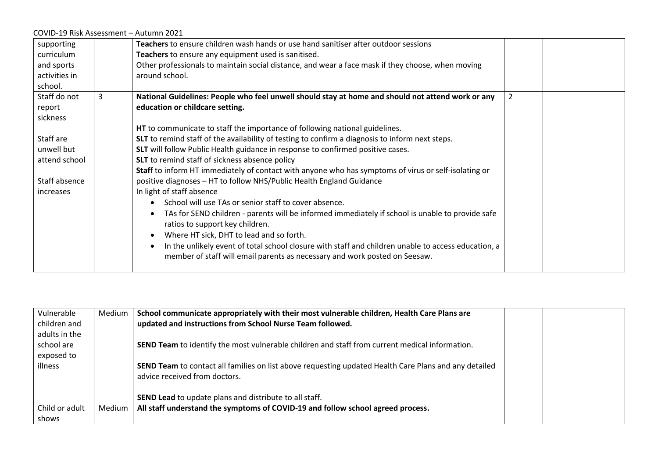| COVID-19 Risk Assessment - Autumn 2021 |   |                                                                                                      |  |
|----------------------------------------|---|------------------------------------------------------------------------------------------------------|--|
| supporting                             |   | Teachers to ensure children wash hands or use hand sanitiser after outdoor sessions                  |  |
| curriculum                             |   | Teachers to ensure any equipment used is sanitised.                                                  |  |
| and sports                             |   | Other professionals to maintain social distance, and wear a face mask if they choose, when moving    |  |
| activities in                          |   | around school.                                                                                       |  |
| school.                                |   |                                                                                                      |  |
| Staff do not                           | 3 | National Guidelines: People who feel unwell should stay at home and should not attend work or any    |  |
| report                                 |   | education or childcare setting.                                                                      |  |
| sickness                               |   |                                                                                                      |  |
|                                        |   | HT to communicate to staff the importance of following national guidelines.                          |  |
| Staff are                              |   | SLT to remind staff of the availability of testing to confirm a diagnosis to inform next steps.      |  |
| unwell but                             |   | SLT will follow Public Health guidance in response to confirmed positive cases.                      |  |
| attend school                          |   | SLT to remind staff of sickness absence policy                                                       |  |
|                                        |   | Staff to inform HT immediately of contact with anyone who has symptoms of virus or self-isolating or |  |
| Staff absence                          |   | positive diagnoses - HT to follow NHS/Public Health England Guidance                                 |  |
| increases                              |   | In light of staff absence                                                                            |  |
|                                        |   | School will use TAs or senior staff to cover absence.                                                |  |
|                                        |   | TAs for SEND children - parents will be informed immediately if school is unable to provide safe     |  |
|                                        |   | ratios to support key children.                                                                      |  |
|                                        |   | Where HT sick, DHT to lead and so forth.                                                             |  |
|                                        |   | In the unlikely event of total school closure with staff and children unable to access education, a  |  |
|                                        |   | member of staff will email parents as necessary and work posted on Seesaw.                           |  |
|                                        |   |                                                                                                      |  |

| Vulnerable     | Medium | School communicate appropriately with their most vulnerable children, Health Care Plans are           |  |
|----------------|--------|-------------------------------------------------------------------------------------------------------|--|
| children and   |        | updated and instructions from School Nurse Team followed.                                             |  |
| adults in the  |        |                                                                                                       |  |
| school are     |        | SEND Team to identify the most vulnerable children and staff from current medical information.        |  |
| exposed to     |        |                                                                                                       |  |
| illness        |        | SEND Team to contact all families on list above requesting updated Health Care Plans and any detailed |  |
|                |        | advice received from doctors.                                                                         |  |
|                |        |                                                                                                       |  |
|                |        | <b>SEND Lead</b> to update plans and distribute to all staff.                                         |  |
| Child or adult | Medium | All staff understand the symptoms of COVID-19 and follow school agreed process.                       |  |
| shows          |        |                                                                                                       |  |